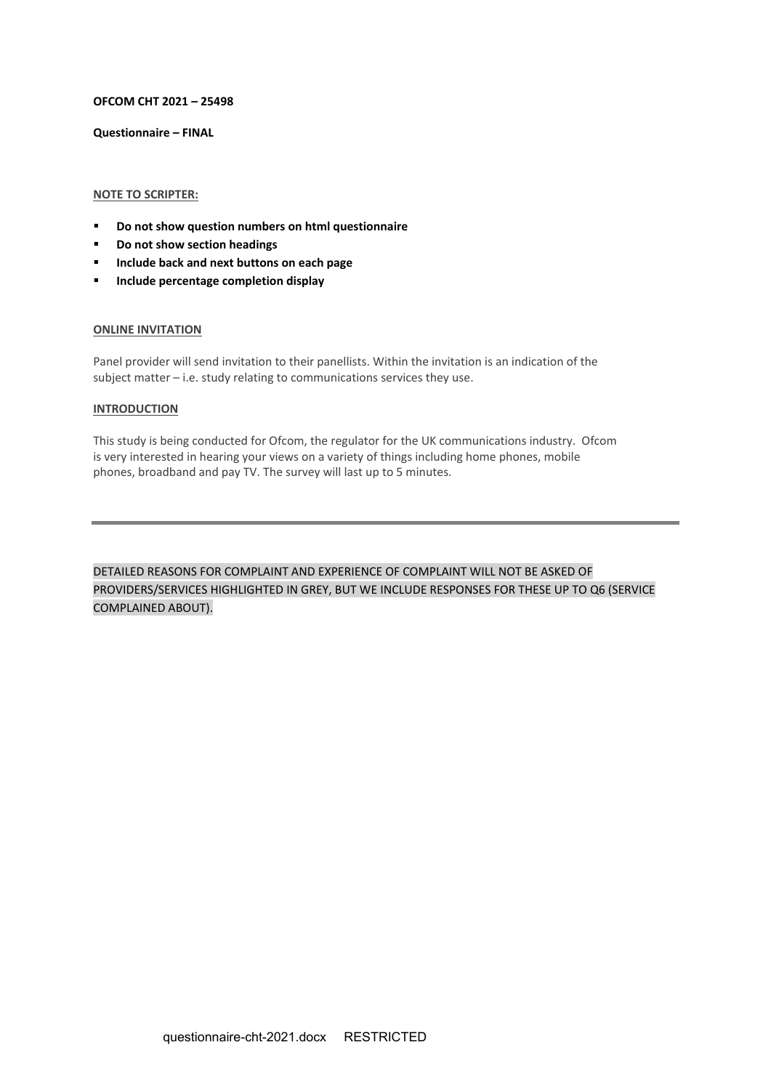## **OFCOM CHT 2021 – 25498**

**Questionnaire – FINAL**

# **NOTE TO SCRIPTER:**

- **Do not show question numbers on html questionnaire**
- **Do not show section headings**
- **Include back and next buttons on each page**
- **Include percentage completion display**

### **ONLINE INVITATION**

Panel provider will send invitation to their panellists. Within the invitation is an indication of the subject matter – i.e. study relating to communications services they use.

## **INTRODUCTION**

This study is being conducted for Ofcom, the regulator for the UK communications industry. Ofcom is very interested in hearing your views on a variety of things including home phones, mobile phones, broadband and pay TV. The survey will last up to 5 minutes.

DETAILED REASONS FOR COMPLAINT AND EXPERIENCE OF COMPLAINT WILL NOT BE ASKED OF PROVIDERS/SERVICES HIGHLIGHTED IN GREY, BUT WE INCLUDE RESPONSES FOR THESE UP TO Q6 (SERVICE COMPLAINED ABOUT).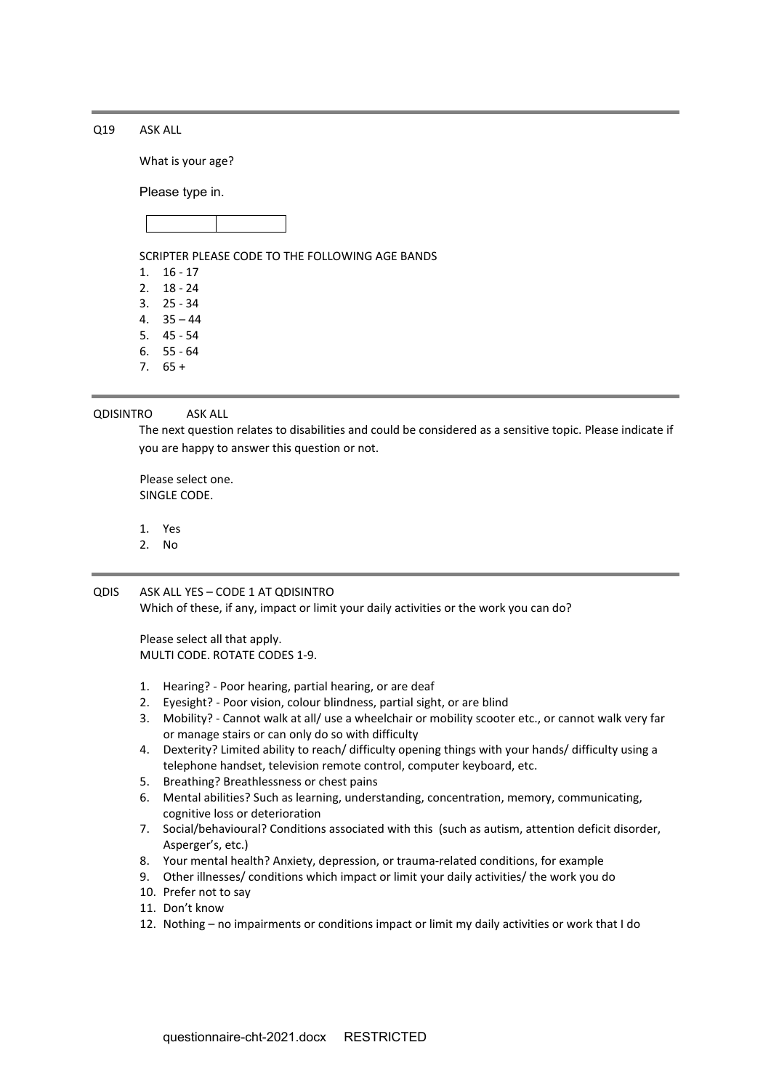Q19 ASK ALL

What is your age?

Please type in.



SCRIPTER PLEASE CODE TO THE FOLLOWING AGE BANDS

1. 16 - 17

- 2. 18 24
- 3. 25 34
- 4. 35 44
- 5. 45 54
- 6. 55 64
- $7.65 +$

QDISINTRO ASK ALL

The next question relates to disabilities and could be considered as a sensitive topic. Please indicate if you are happy to answer this question or not.

Please select one. SINGLE CODE.

- 1. Yes
- 2. No

QDIS ASK ALL YES – CODE 1 AT QDISINTRO Which of these, if any, impact or limit your daily activities or the work you can do?

Please select all that apply. MULTI CODE. ROTATE CODES 1-9.

- 1. Hearing? Poor hearing, partial hearing, or are deaf
- 2. Eyesight? Poor vision, colour blindness, partial sight, or are blind
- 3. Mobility? Cannot walk at all/ use a wheelchair or mobility scooter etc., or cannot walk very far or manage stairs or can only do so with difficulty
- 4. Dexterity? Limited ability to reach/ difficulty opening things with your hands/ difficulty using a telephone handset, television remote control, computer keyboard, etc.
- 5. Breathing? Breathlessness or chest pains
- 6. Mental abilities? Such as learning, understanding, concentration, memory, communicating, cognitive loss or deterioration
- 7. Social/behavioural? Conditions associated with this (such as autism, attention deficit disorder, Asperger's, etc.)
- 8. Your mental health? Anxiety, depression, or trauma-related conditions, for example
- 9. Other illnesses/ conditions which impact or limit your daily activities/ the work you do
- 10. Prefer not to say
- 11. Don't know
- 12. Nothing no impairments or conditions impact or limit my daily activities or work that I do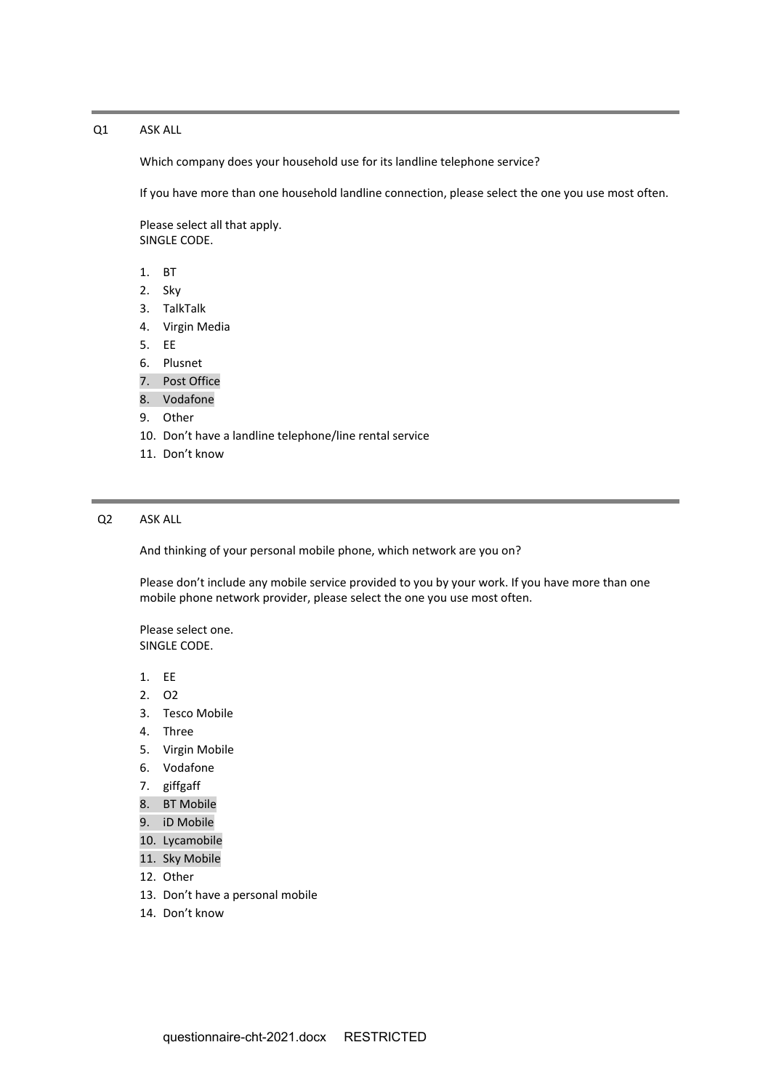## Q1 ASK ALL

Which company does your household use for its landline telephone service?

If you have more than one household landline connection, please select the one you use most often.

Please select all that apply. SINGLE CODE.

- 1. BT
- 2. Sky
- 3. TalkTalk
- 4. Virgin Media
- 5. EE
- 6. Plusnet
- 7. Post Office
- 8. Vodafone
- 9. Other
- 10. Don't have a landline telephone/line rental service
- 11. Don't know

# Q2 ASK ALL

And thinking of your personal mobile phone, which network are you on?

Please don't include any mobile service provided to you by your work. If you have more than one mobile phone network provider, please select the one you use most often.

- 1. EE
- 2. O2
- 3. Tesco Mobile
- 4. Three
- 5. Virgin Mobile
- 6. Vodafone
- 7. giffgaff
- 8. BT Mobile
- 9. iD Mobile
- 10. Lycamobile
- 11. Sky Mobile
- 12. Other
- 13. Don't have a personal mobile
- 14. Don't know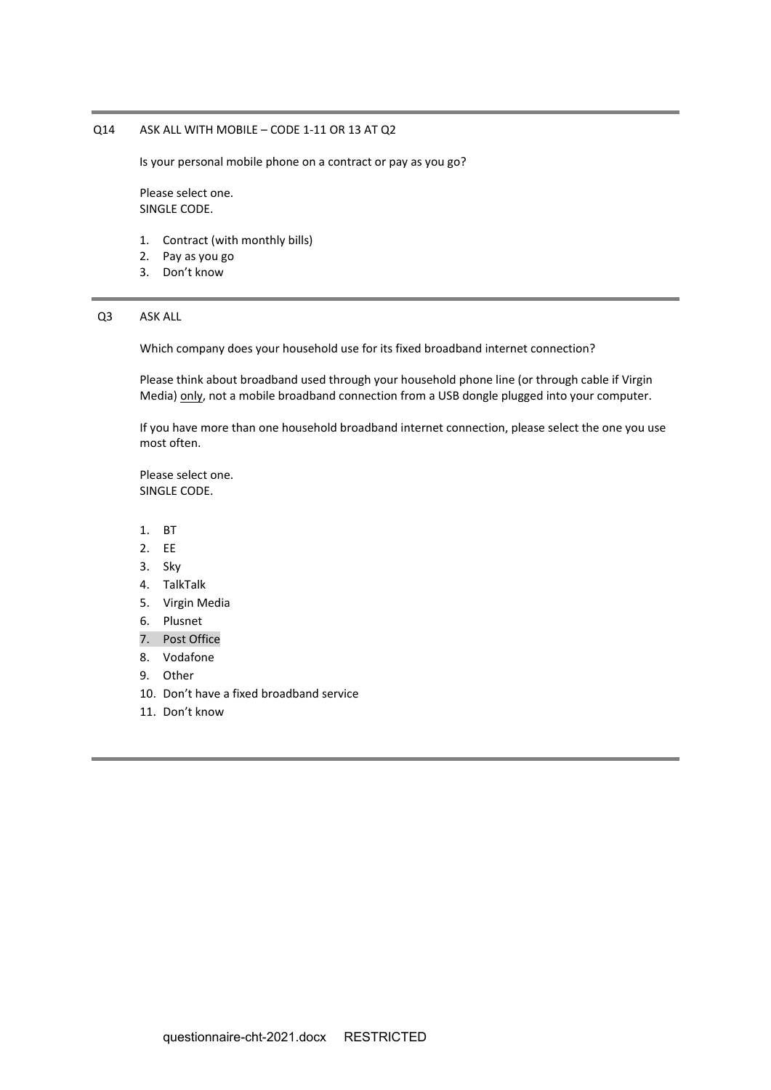# Q14 ASK ALL WITH MOBILE – CODE 1-11 OR 13 AT Q2

Is your personal mobile phone on a contract or pay as you go?

Please select one. SINGLE CODE.

- 1. Contract (with monthly bills)
- 2. Pay as you go
- 3. Don't know

## Q3 ASK ALL

Which company does your household use for its fixed broadband internet connection?

Please think about broadband used through your household phone line (or through cable if Virgin Media) only, not a mobile broadband connection from a USB dongle plugged into your computer.

If you have more than one household broadband internet connection, please select the one you use most often.

- 1. BT
- 2. EE
- 3. Sky
- 4. TalkTalk
- 5. Virgin Media
- 6. Plusnet
- 7. Post Office
- 8. Vodafone
- 9. Other
- 10. Don't have a fixed broadband service
- 11. Don't know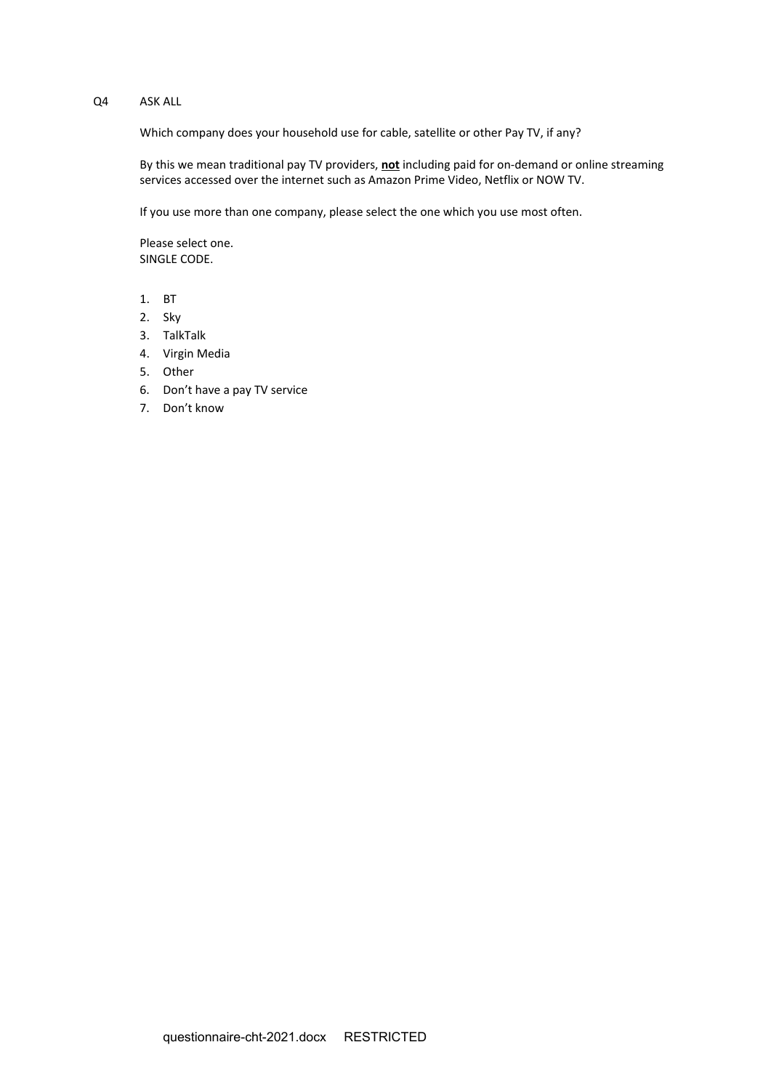# Q4 ASK ALL

Which company does your household use for cable, satellite or other Pay TV, if any?

By this we mean traditional pay TV providers, **not** including paid for on-demand or online streaming services accessed over the internet such as Amazon Prime Video, Netflix or NOW TV.

If you use more than one company, please select the one which you use most often.

- 1. BT
- 2. Sky
- 3. TalkTalk
- 4. Virgin Media
- 5. Other
- 6. Don't have a pay TV service
- 7. Don't know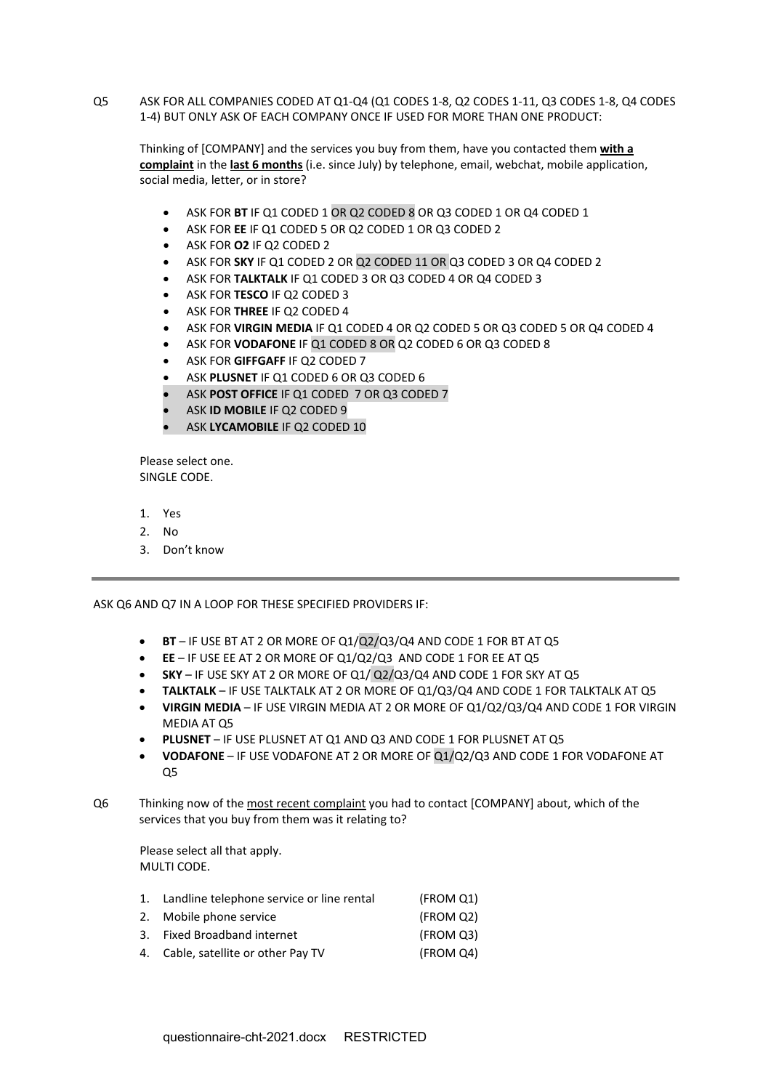Q5 ASK FOR ALL COMPANIES CODED AT Q1-Q4 (Q1 CODES 1-8, Q2 CODES 1-11, Q3 CODES 1-8, Q4 CODES 1-4) BUT ONLY ASK OF EACH COMPANY ONCE IF USED FOR MORE THAN ONE PRODUCT:

Thinking of [COMPANY] and the services you buy from them, have you contacted them **with a complaint** in the **last 6 months** (i.e. since July) by telephone, email, webchat, mobile application, social media, letter, or in store?

- ASK FOR **BT** IF Q1 CODED 1 OR Q2 CODED 8 OR Q3 CODED 1 OR Q4 CODED 1
- ASK FOR **EE** IF Q1 CODED 5 OR Q2 CODED 1 OR Q3 CODED 2
- ASK FOR **O2** IF Q2 CODED 2
- ASK FOR **SKY** IF Q1 CODED 2 OR Q2 CODED 11 OR Q3 CODED 3 OR Q4 CODED 2
- ASK FOR **TALKTALK** IF Q1 CODED 3 OR Q3 CODED 4 OR Q4 CODED 3
- ASK FOR **TESCO** IF Q2 CODED 3
- ASK FOR **THREE** IF Q2 CODED 4
- ASK FOR **VIRGIN MEDIA** IF Q1 CODED 4 OR Q2 CODED 5 OR Q3 CODED 5 OR Q4 CODED 4
- ASK FOR **VODAFONE** IF Q1 CODED 8 OR Q2 CODED 6 OR Q3 CODED 8
- ASK FOR **GIFFGAFF** IF Q2 CODED 7
- ASK **PLUSNET** IF Q1 CODED 6 OR Q3 CODED 6
- ASK **POST OFFICE** IF Q1 CODED 7 OR Q3 CODED 7
- ASK **ID MOBILE** IF Q2 CODED 9
- ASK **LYCAMOBILE** IF Q2 CODED 10

Please select one. SINGLE CODE.

- 1. Yes
- 2. No
- 3. Don't know

ASK Q6 AND Q7 IN A LOOP FOR THESE SPECIFIED PROVIDERS IF:

- **BT** IF USE BT AT 2 OR MORE OF Q1/Q2/Q3/Q4 AND CODE 1 FOR BT AT Q5
- **EE** IF USE EE AT 2 OR MORE OF Q1/Q2/Q3 AND CODE 1 FOR EE AT Q5
- **SKY** IF USE SKY AT 2 OR MORE OF Q1/ Q2/Q3/Q4 AND CODE 1 FOR SKY AT Q5
- **TALKTALK** IF USE TALKTALK AT 2 OR MORE OF Q1/Q3/Q4 AND CODE 1 FOR TALKTALK AT Q5
- **VIRGIN MEDIA** IF USE VIRGIN MEDIA AT 2 OR MORE OF Q1/Q2/Q3/Q4 AND CODE 1 FOR VIRGIN MEDIA AT O5
- **PLUSNET** IF USE PLUSNET AT Q1 AND Q3 AND CODE 1 FOR PLUSNET AT Q5
- **VODAFONE** IF USE VODAFONE AT 2 OR MORE OF Q1/Q2/Q3 AND CODE 1 FOR VODAFONE AT Q5
- Q6 Thinking now of the most recent complaint you had to contact [COMPANY] about, which of the services that you buy from them was it relating to?

Please select all that apply. MULTI CODE.

- 1. Landline telephone service or line rental (FROM Q1)
- 2. Mobile phone service (FROM Q2)
- 3. Fixed Broadband internet (FROM Q3)
- 4. Cable, satellite or other Pay TV (FROM Q4)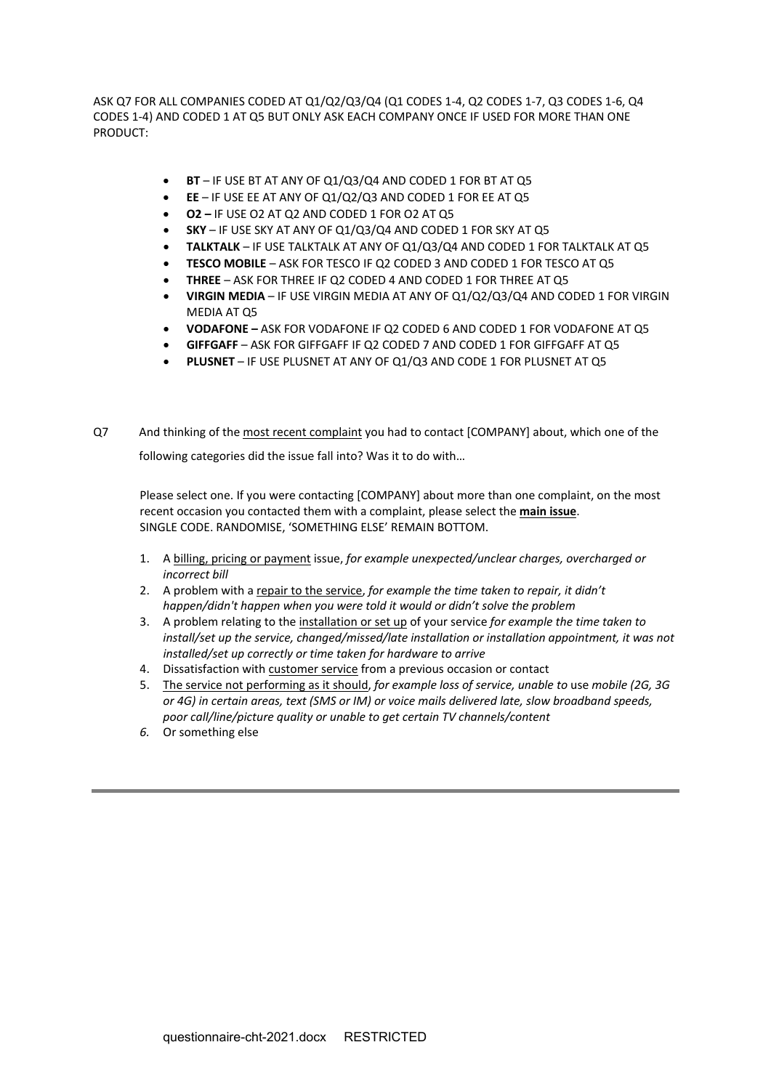ASK Q7 FOR ALL COMPANIES CODED AT Q1/Q2/Q3/Q4 (Q1 CODES 1-4, Q2 CODES 1-7, Q3 CODES 1-6, Q4 CODES 1-4) AND CODED 1 AT Q5 BUT ONLY ASK EACH COMPANY ONCE IF USED FOR MORE THAN ONE PRODUCT:

- **BT** IF USE BT AT ANY OF Q1/Q3/Q4 AND CODED 1 FOR BT AT Q5
- **EE** IF USE EE AT ANY OF Q1/Q2/Q3 AND CODED 1 FOR EE AT Q5
- **O2 –** IF USE O2 AT Q2 AND CODED 1 FOR O2 AT Q5
- **SKY** IF USE SKY AT ANY OF Q1/Q3/Q4 AND CODED 1 FOR SKY AT Q5
- **TALKTALK** IF USE TALKTALK AT ANY OF Q1/Q3/Q4 AND CODED 1 FOR TALKTALK AT Q5
- **TESCO MOBILE** ASK FOR TESCO IF Q2 CODED 3 AND CODED 1 FOR TESCO AT Q5
- **THREE** ASK FOR THREE IF Q2 CODED 4 AND CODED 1 FOR THREE AT Q5
- **VIRGIN MEDIA** IF USE VIRGIN MEDIA AT ANY OF Q1/Q2/Q3/Q4 AND CODED 1 FOR VIRGIN MEDIA AT Q5
- **VODAFONE –** ASK FOR VODAFONE IF Q2 CODED 6 AND CODED 1 FOR VODAFONE AT Q5
- **GIFFGAFF** ASK FOR GIFFGAFF IF Q2 CODED 7 AND CODED 1 FOR GIFFGAFF AT Q5
- **PLUSNET** IF USE PLUSNET AT ANY OF Q1/Q3 AND CODE 1 FOR PLUSNET AT Q5
- Q7 And thinking of the most recent complaint you had to contact [COMPANY] about, which one of the following categories did the issue fall into? Was it to do with…

Please select one. If you were contacting [COMPANY] about more than one complaint, on the most recent occasion you contacted them with a complaint, please select the **main issue**. SINGLE CODE. RANDOMISE, 'SOMETHING ELSE' REMAIN BOTTOM.

- 1. A billing, pricing or payment issue, *for example unexpected/unclear charges, overcharged or incorrect bill*
- 2. A problem with a repair to the service, *for example the time taken to repair, it didn't happen/didn't happen when you were told it would or didn't solve the problem*
- 3. A problem relating to the installation or set up of your service *for example the time taken to install/set up the service, changed/missed/late installation or installation appointment, it was not installed/set up correctly or time taken for hardware to arrive*
- 4. Dissatisfaction with customer service from a previous occasion or contact
- 5. The service not performing as it should, *for example loss of service, unable to* use *mobile (2G, 3G or 4G) in certain areas, text (SMS or IM) or voice mails delivered late, slow broadband speeds, poor call/line/picture quality or unable to get certain TV channels/content*
- *6.* Or something else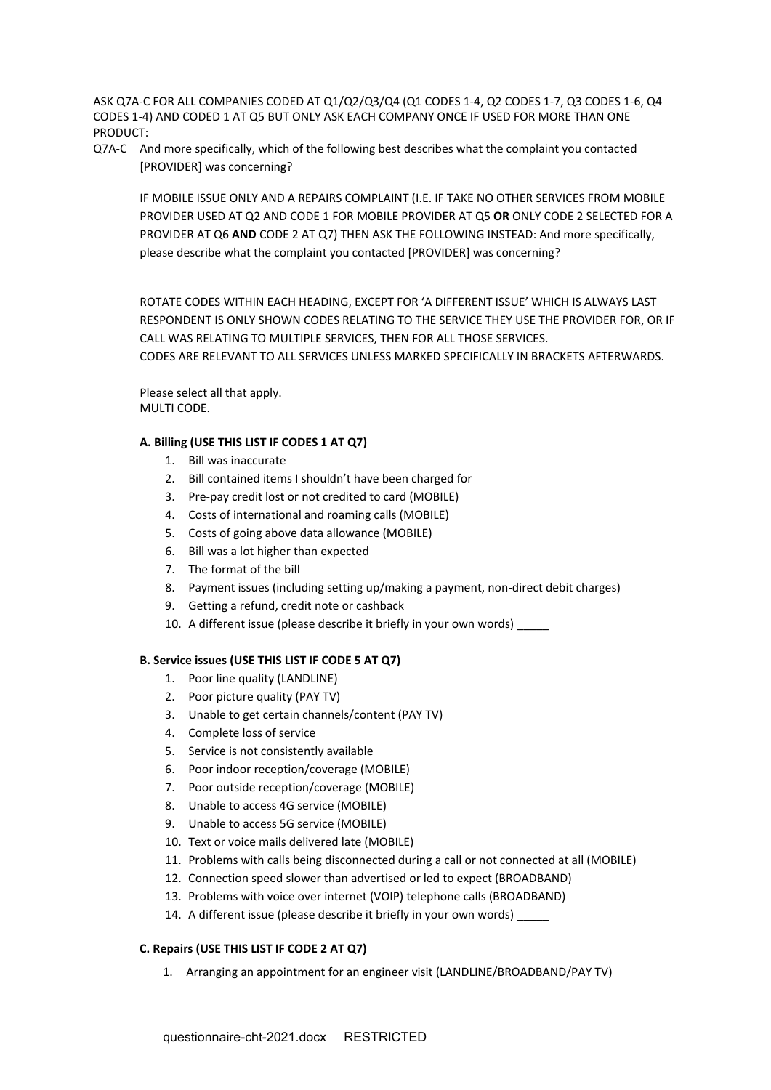ASK Q7A-C FOR ALL COMPANIES CODED AT Q1/Q2/Q3/Q4 (Q1 CODES 1-4, Q2 CODES 1-7, Q3 CODES 1-6, Q4 CODES 1-4) AND CODED 1 AT Q5 BUT ONLY ASK EACH COMPANY ONCE IF USED FOR MORE THAN ONE PRODUCT:

Q7A-C And more specifically, which of the following best describes what the complaint you contacted [PROVIDER] was concerning?

IF MOBILE ISSUE ONLY AND A REPAIRS COMPLAINT (I.E. IF TAKE NO OTHER SERVICES FROM MOBILE PROVIDER USED AT Q2 AND CODE 1 FOR MOBILE PROVIDER AT Q5 **OR** ONLY CODE 2 SELECTED FOR A PROVIDER AT Q6 **AND** CODE 2 AT Q7) THEN ASK THE FOLLOWING INSTEAD: And more specifically, please describe what the complaint you contacted [PROVIDER] was concerning?

ROTATE CODES WITHIN EACH HEADING, EXCEPT FOR 'A DIFFERENT ISSUE' WHICH IS ALWAYS LAST RESPONDENT IS ONLY SHOWN CODES RELATING TO THE SERVICE THEY USE THE PROVIDER FOR, OR IF CALL WAS RELATING TO MULTIPLE SERVICES, THEN FOR ALL THOSE SERVICES. CODES ARE RELEVANT TO ALL SERVICES UNLESS MARKED SPECIFICALLY IN BRACKETS AFTERWARDS.

Please select all that apply. MULTI CODE.

# **A. Billing (USE THIS LIST IF CODES 1 AT Q7)**

- 1. Bill was inaccurate
- 2. Bill contained items I shouldn't have been charged for
- 3. Pre-pay credit lost or not credited to card (MOBILE)
- 4. Costs of international and roaming calls (MOBILE)
- 5. Costs of going above data allowance (MOBILE)
- 6. Bill was a lot higher than expected
- 7. The format of the bill
- 8. Payment issues (including setting up/making a payment, non-direct debit charges)
- 9. Getting a refund, credit note or cashback
- 10. A different issue (please describe it briefly in your own words)

# **B. Service issues (USE THIS LIST IF CODE 5 AT Q7)**

- 1. Poor line quality (LANDLINE)
- 2. Poor picture quality (PAY TV)
- 3. Unable to get certain channels/content (PAY TV)
- 4. Complete loss of service
- 5. Service is not consistently available
- 6. Poor indoor reception/coverage (MOBILE)
- 7. Poor outside reception/coverage (MOBILE)
- 8. Unable to access 4G service (MOBILE)
- 9. Unable to access 5G service (MOBILE)
- 10. Text or voice mails delivered late (MOBILE)
- 11. Problems with calls being disconnected during a call or not connected at all (MOBILE)
- 12. Connection speed slower than advertised or led to expect (BROADBAND)
- 13. Problems with voice over internet (VOIP) telephone calls (BROADBAND)
- 14. A different issue (please describe it briefly in your own words)

# **C. Repairs (USE THIS LIST IF CODE 2 AT Q7)**

1. Arranging an appointment for an engineer visit (LANDLINE/BROADBAND/PAY TV)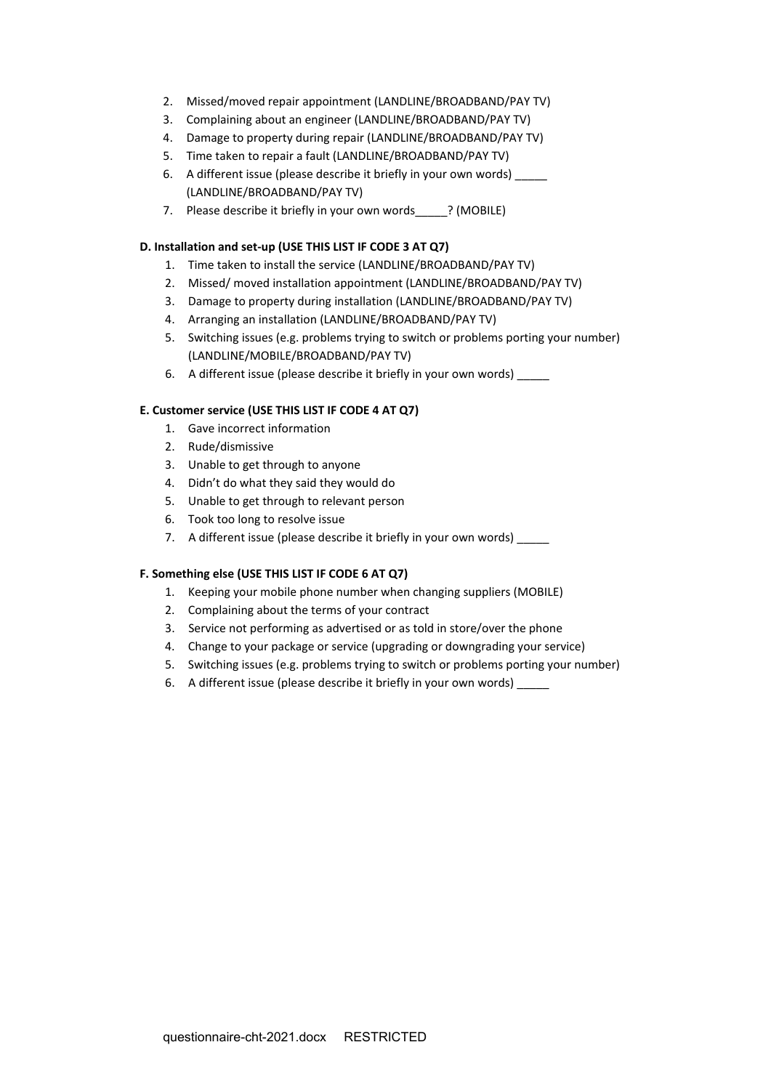- 2. Missed/moved repair appointment (LANDLINE/BROADBAND/PAY TV)
- 3. Complaining about an engineer (LANDLINE/BROADBAND/PAY TV)
- 4. Damage to property during repair (LANDLINE/BROADBAND/PAY TV)
- 5. Time taken to repair a fault (LANDLINE/BROADBAND/PAY TV)
- 6. A different issue (please describe it briefly in your own words) \_\_\_\_\_ (LANDLINE/BROADBAND/PAY TV)
- 7. Please describe it briefly in your own words ? (MOBILE)

# **D. Installation and set-up (USE THIS LIST IF CODE 3 AT Q7)**

- 1. Time taken to install the service (LANDLINE/BROADBAND/PAY TV)
- 2. Missed/ moved installation appointment (LANDLINE/BROADBAND/PAY TV)
- 3. Damage to property during installation (LANDLINE/BROADBAND/PAY TV)
- 4. Arranging an installation (LANDLINE/BROADBAND/PAY TV)
- 5. Switching issues (e.g. problems trying to switch or problems porting your number) (LANDLINE/MOBILE/BROADBAND/PAY TV)
- 6. A different issue (please describe it briefly in your own words) \_\_\_\_\_

# **E. Customer service (USE THIS LIST IF CODE 4 AT Q7)**

- 1. Gave incorrect information
- 2. Rude/dismissive
- 3. Unable to get through to anyone
- 4. Didn't do what they said they would do
- 5. Unable to get through to relevant person
- 6. Took too long to resolve issue
- 7. A different issue (please describe it briefly in your own words)

# **F. Something else (USE THIS LIST IF CODE 6 AT Q7)**

- 1. Keeping your mobile phone number when changing suppliers (MOBILE)
- 2. Complaining about the terms of your contract
- 3. Service not performing as advertised or as told in store/over the phone
- 4. Change to your package or service (upgrading or downgrading your service)
- 5. Switching issues (e.g. problems trying to switch or problems porting your number)
- 6. A different issue (please describe it briefly in your own words)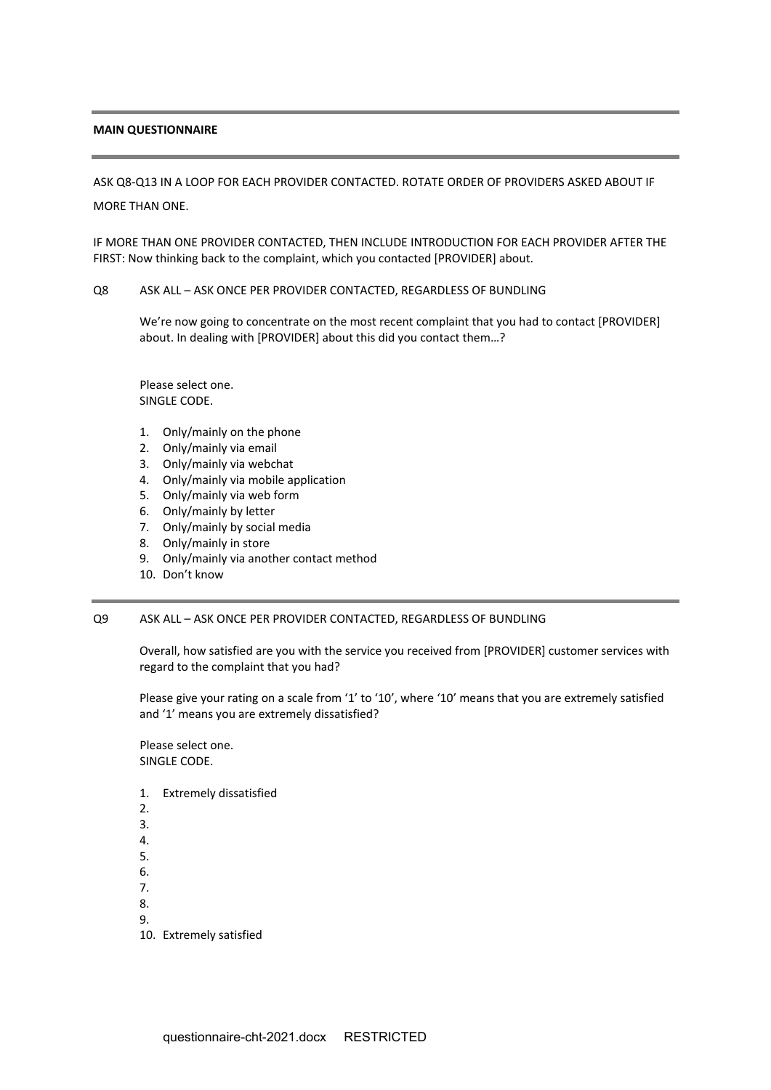## **MAIN QUESTIONNAIRE**

ASK Q8-Q13 IN A LOOP FOR EACH PROVIDER CONTACTED. ROTATE ORDER OF PROVIDERS ASKED ABOUT IF

MORE THAN ONE.

IF MORE THAN ONE PROVIDER CONTACTED, THEN INCLUDE INTRODUCTION FOR EACH PROVIDER AFTER THE FIRST: Now thinking back to the complaint, which you contacted [PROVIDER] about.

## Q8 ASK ALL – ASK ONCE PER PROVIDER CONTACTED, REGARDLESS OF BUNDLING

We're now going to concentrate on the most recent complaint that you had to contact [PROVIDER] about. In dealing with [PROVIDER] about this did you contact them…?

Please select one. SINGLE CODE.

- 1. Only/mainly on the phone
- 2. Only/mainly via email
- 3. Only/mainly via webchat
- 4. Only/mainly via mobile application
- 5. Only/mainly via web form
- 6. Only/mainly by letter
- 7. Only/mainly by social media
- 8. Only/mainly in store
- 9. Only/mainly via another contact method
- 10. Don't know

## Q9 ASK ALL – ASK ONCE PER PROVIDER CONTACTED, REGARDLESS OF BUNDLING

Overall, how satisfied are you with the service you received from [PROVIDER] customer services with regard to the complaint that you had?

Please give your rating on a scale from '1' to '10', where '10' means that you are extremely satisfied and '1' means you are extremely dissatisfied?

- 1. Extremely dissatisfied
- 2.
- 3.
- 4.
- 5. 6.
- 7.
- 8.
- 9.
- 10. Extremely satisfied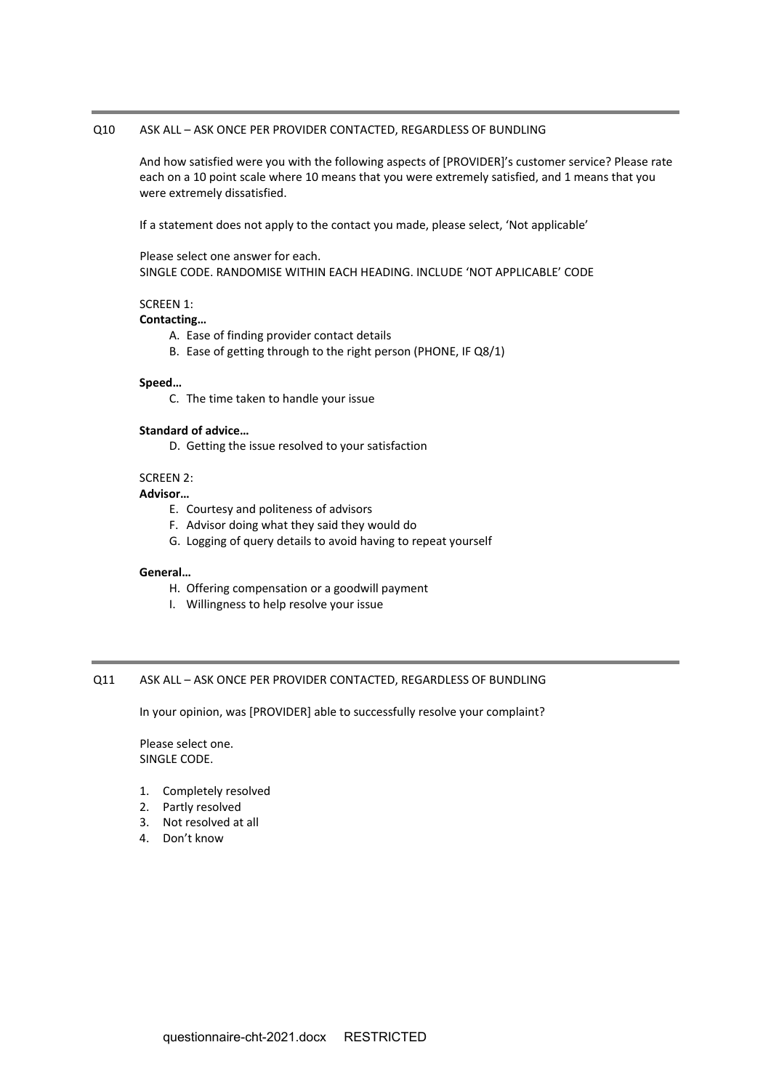## Q10 ASK ALL – ASK ONCE PER PROVIDER CONTACTED, REGARDLESS OF BUNDLING

And how satisfied were you with the following aspects of [PROVIDER]'s customer service? Please rate each on a 10 point scale where 10 means that you were extremely satisfied, and 1 means that you were extremely dissatisfied.

If a statement does not apply to the contact you made, please select, 'Not applicable'

Please select one answer for each. SINGLE CODE. RANDOMISE WITHIN EACH HEADING. INCLUDE 'NOT APPLICABLE' CODE

# SCREEN 1:

#### **Contacting…**

- A. Ease of finding provider contact details
- B. Ease of getting through to the right person (PHONE, IF Q8/1)

#### **Speed…**

C. The time taken to handle your issue

#### **Standard of advice…**

D. Getting the issue resolved to your satisfaction

# SCREEN 2:

## **Advisor…**

- E. Courtesy and politeness of advisors
- F. Advisor doing what they said they would do
- G. Logging of query details to avoid having to repeat yourself

### **General…**

- H. Offering compensation or a goodwill payment
- I. Willingness to help resolve your issue

# Q11 ASK ALL – ASK ONCE PER PROVIDER CONTACTED, REGARDLESS OF BUNDLING

In your opinion, was [PROVIDER] able to successfully resolve your complaint?

- 1. Completely resolved
- 2. Partly resolved
- 3. Not resolved at all
- 4. Don't know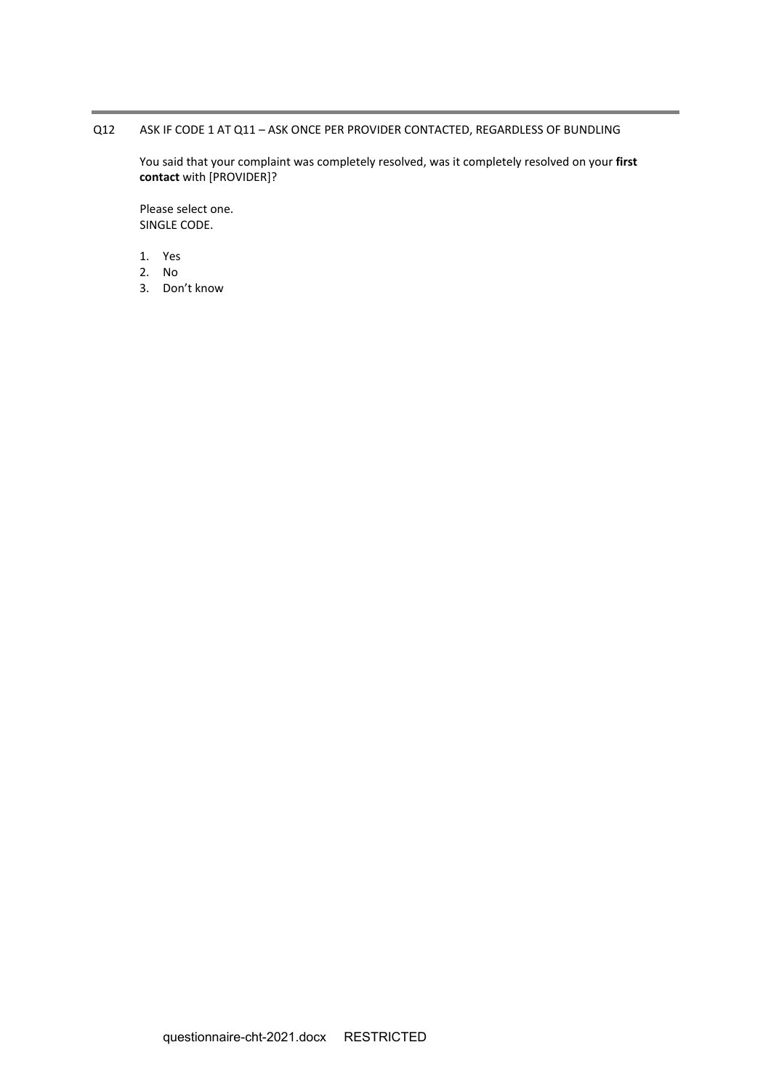# Q12 ASK IF CODE 1 AT Q11 – ASK ONCE PER PROVIDER CONTACTED, REGARDLESS OF BUNDLING

You said that your complaint was completely resolved, was it completely resolved on your **first contact** with [PROVIDER]?

- 1. Yes
- 2. No
- 3. Don't know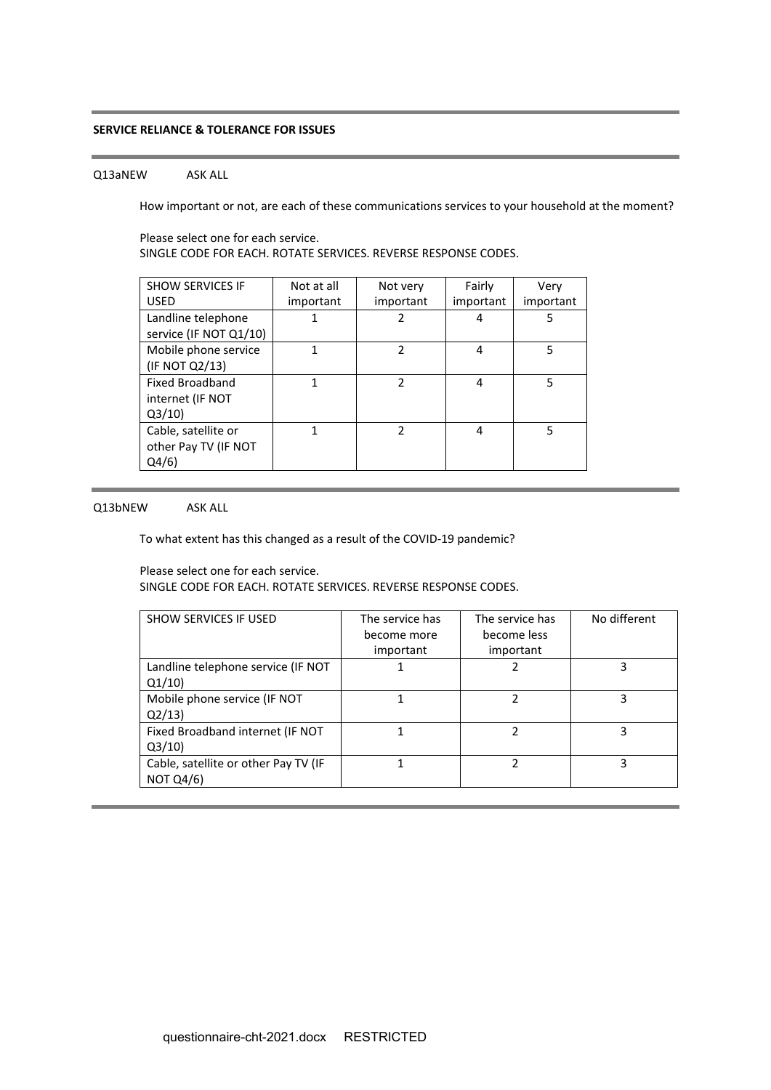## **SERVICE RELIANCE & TOLERANCE FOR ISSUES**

## Q13aNEW ASK ALL

How important or not, are each of these communications services to your household at the moment?

Please select one for each service. SINGLE CODE FOR EACH. ROTATE SERVICES. REVERSE RESPONSE CODES.

| <b>SHOW SERVICES IF</b> | Not at all | Not very       | Fairly    | Very      |
|-------------------------|------------|----------------|-----------|-----------|
| <b>USED</b>             | important  | important      | important | important |
| Landline telephone      |            | 2              | 4         | 5         |
| service (IF NOT Q1/10)  |            |                |           |           |
| Mobile phone service    |            | 2              | 4         | 5         |
| (IF NOT Q2/13)          |            |                |           |           |
| <b>Fixed Broadband</b>  |            | $\mathfrak{p}$ | 4         | 5         |
| internet (IF NOT        |            |                |           |           |
| Q3/10                   |            |                |           |           |
| Cable, satellite or     |            | $\mathcal{P}$  | 4         | 5         |
| other Pay TV (IF NOT    |            |                |           |           |
| Q4/6)                   |            |                |           |           |
|                         |            |                |           |           |

# Q13bNEW ASK ALL

To what extent has this changed as a result of the COVID-19 pandemic?

Please select one for each service.

SINGLE CODE FOR EACH. ROTATE SERVICES. REVERSE RESPONSE CODES.

| <b>SHOW SERVICES IF USED</b>                             | The service has<br>become more<br>important | The service has<br>become less<br>important | No different |
|----------------------------------------------------------|---------------------------------------------|---------------------------------------------|--------------|
| Landline telephone service (IF NOT<br>Q1/10              |                                             |                                             |              |
| Mobile phone service (IF NOT<br>Q2/13                    |                                             | 2                                           | ς            |
| Fixed Broadband internet (IF NOT<br>Q3/10                |                                             | າ                                           | ς            |
| Cable, satellite or other Pay TV (IF<br><b>NOT Q4/6)</b> |                                             |                                             | 3            |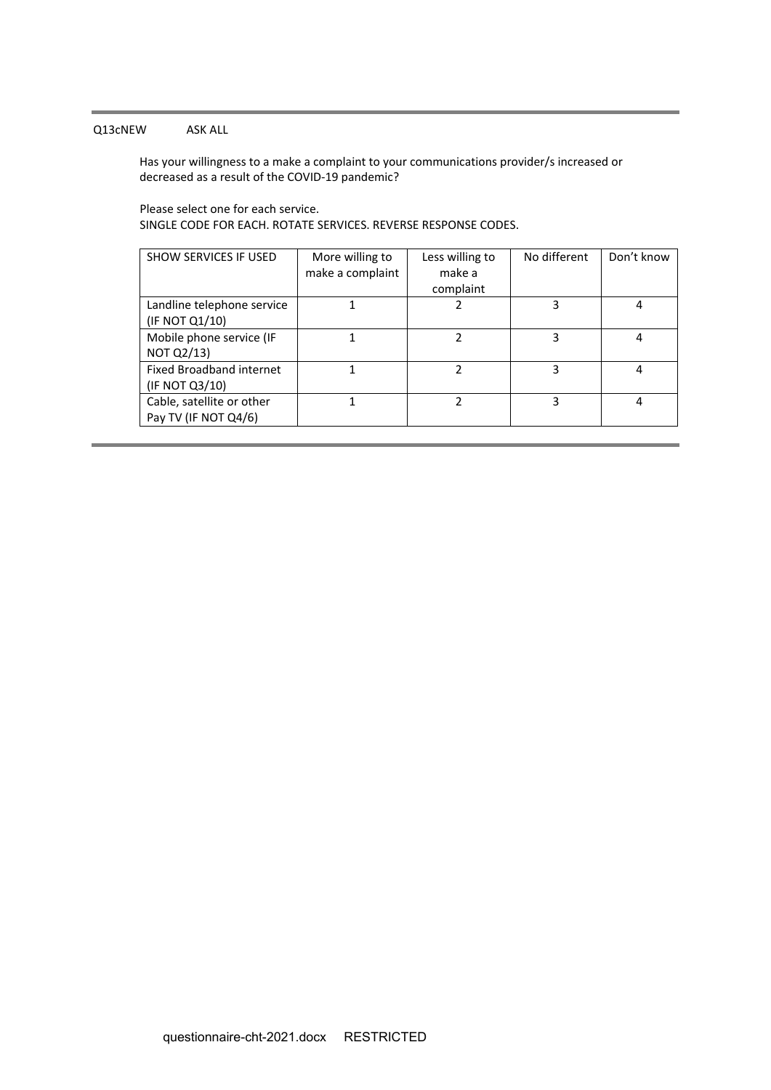# Q13cNEW ASK ALL

Has your willingness to a make a complaint to your communications provider/s increased or decreased as a result of the COVID-19 pandemic?

Please select one for each service. SINGLE CODE FOR EACH. ROTATE SERVICES. REVERSE RESPONSE CODES.

| <b>SHOW SERVICES IF USED</b>    | More willing to  | Less willing to | No different | Don't know |
|---------------------------------|------------------|-----------------|--------------|------------|
|                                 | make a complaint | make a          |              |            |
|                                 |                  |                 |              |            |
|                                 |                  | complaint       |              |            |
| Landline telephone service      |                  |                 | 3            |            |
| (IF NOT Q1/10)                  |                  |                 |              |            |
|                                 |                  |                 |              |            |
| Mobile phone service (IF        |                  | 2               | 3            | 4          |
| <b>NOT Q2/13)</b>               |                  |                 |              |            |
|                                 |                  |                 |              |            |
| <b>Fixed Broadband internet</b> |                  |                 | 3            | 4          |
| (IF NOT Q3/10)                  |                  |                 |              |            |
| Cable, satellite or other       |                  | ำ               | 3            | 4          |
| Pay TV (IF NOT Q4/6)            |                  |                 |              |            |
|                                 |                  |                 |              |            |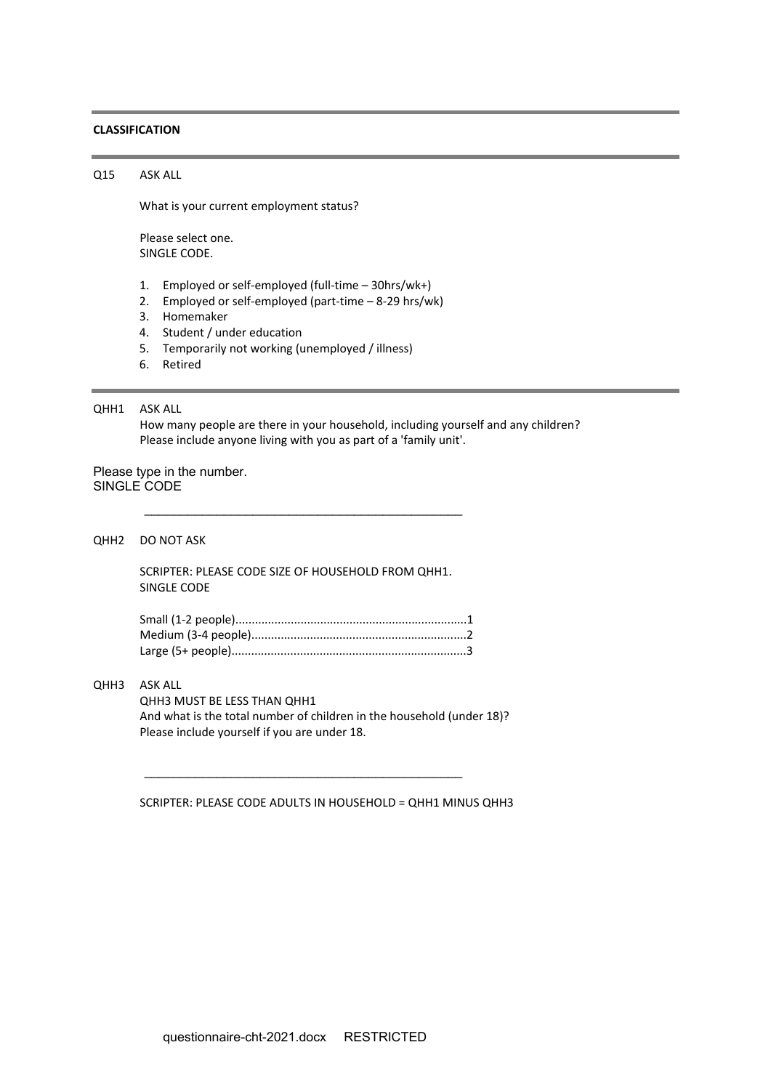#### **CLASSIFICATION**

Q15 ASK ALL

What is your current employment status?

Please select one. SINGLE CODE.

- 1. Employed or self-employed (full-time 30hrs/wk+)
- 2. Employed or self-employed (part-time 8-29 hrs/wk)
- 3. Homemaker
- 4. Student / under education
- 5. Temporarily not working (unemployed / illness)
- 6. Retired

### QHH1 ASK ALL

How many people are there in your household, including yourself and any children? Please include anyone living with you as part of a 'family unit'.

Please type in the number. SINGLE CODE

QHH2 DO NOT ASK

SCRIPTER: PLEASE CODE SIZE OF HOUSEHOLD FROM QHH1. SINGLE CODE

\_\_\_\_\_\_\_\_\_\_\_\_\_\_\_\_\_\_\_\_\_\_\_\_\_\_\_\_\_\_\_\_\_\_\_\_\_\_\_\_\_\_\_\_

\_\_\_\_\_\_\_\_\_\_\_\_\_\_\_\_\_\_\_\_\_\_\_\_\_\_\_\_\_\_\_\_\_\_\_\_\_\_\_\_\_\_\_\_

## QHH3 ASK ALL

QHH3 MUST BE LESS THAN QHH1 And what is the total number of children in the household (under 18)? Please include yourself if you are under 18.

SCRIPTER: PLEASE CODE ADULTS IN HOUSEHOLD = QHH1 MINUS QHH3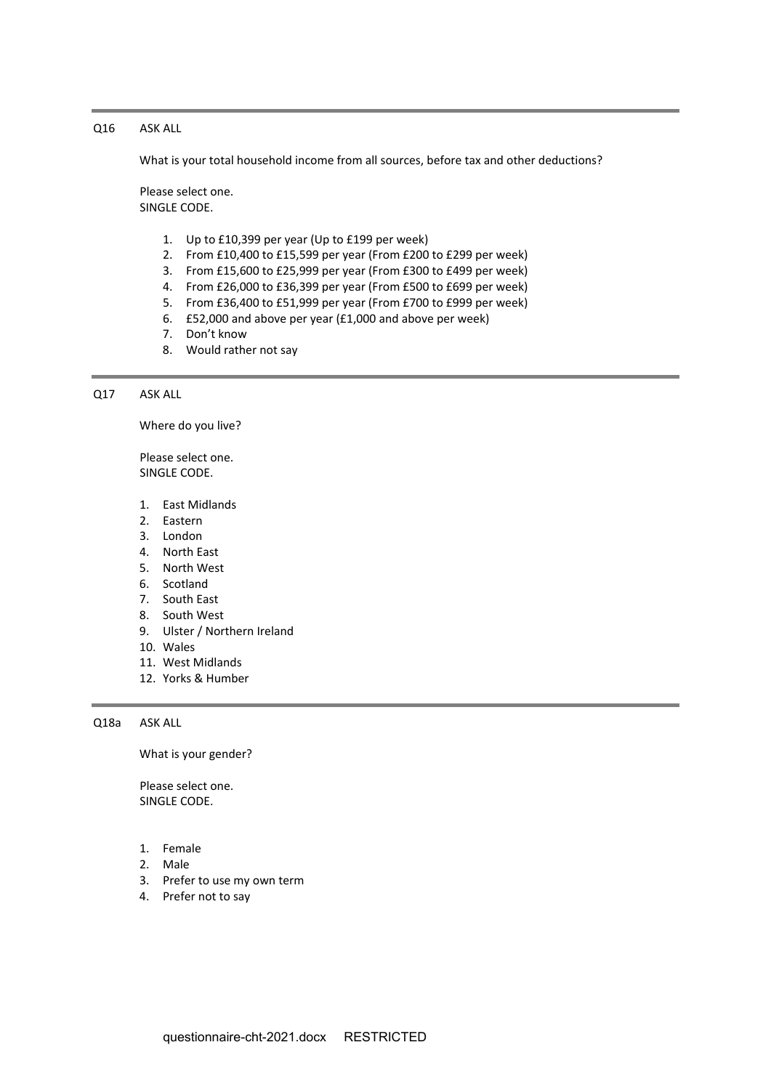# Q16 ASK ALL

What is your total household income from all sources, before tax and other deductions?

Please select one. SINGLE CODE.

- 1. Up to £10,399 per year (Up to £199 per week)
- 2. From £10,400 to £15,599 per year (From £200 to £299 per week)
- 3. From £15,600 to £25,999 per year (From £300 to £499 per week)
- 4. From £26,000 to £36,399 per year (From £500 to £699 per week)
- 5. From £36,400 to £51,999 per year (From £700 to £999 per week)
- 6. £52,000 and above per year (£1,000 and above per week)
- 7. Don't know
- 8. Would rather not say

Q17 ASK ALL

Where do you live?

Please select one. SINGLE CODE.

- 1. East Midlands
- 2. Eastern
- 3. London
- 4. North East
- 5. North West
- 6. Scotland
- 7. South East
- 8. South West
- 9. Ulster / Northern Ireland
- 10. Wales
- 11. West Midlands
- 12. Yorks & Humber

Q18a ASK ALL

What is your gender?

- 1. Female
- 2. Male
- 3. Prefer to use my own term
- 4. Prefer not to say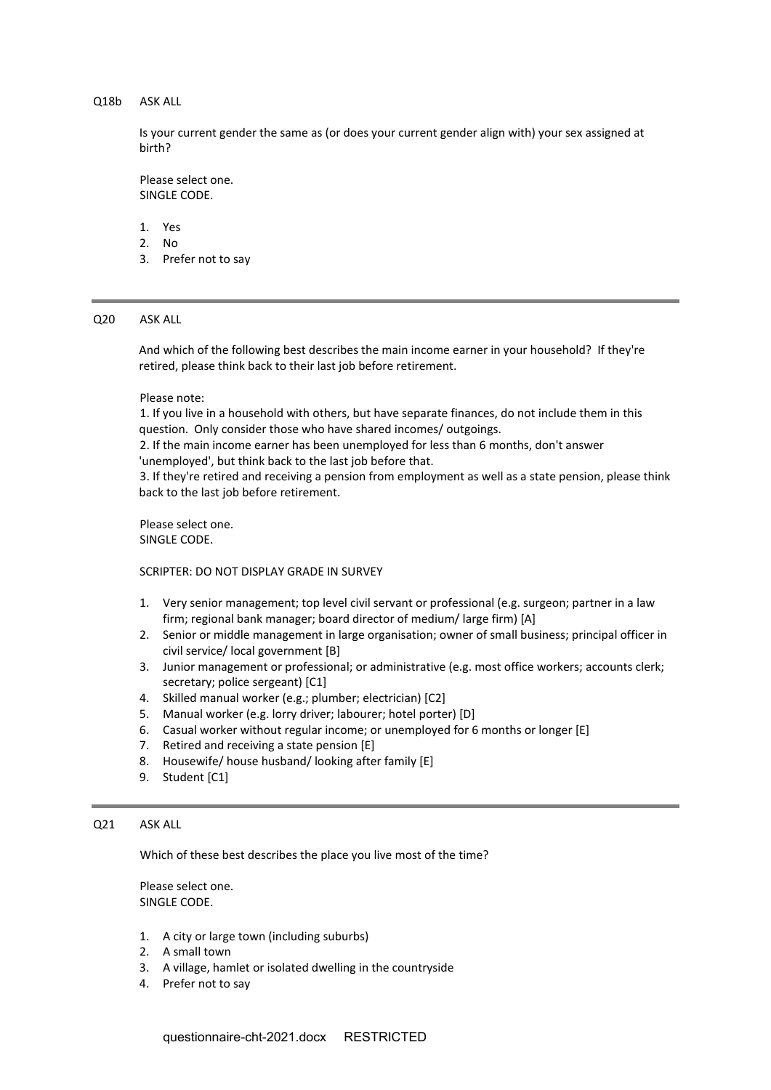## Q18b ASK ALL

Is your current gender the same as (or does your current gender align with) your sex assigned at birth?

Please select one. SINGLE CODE.

- 1. Yes
- 2. No
- 3. Prefer not to say

### Q20 ASK ALL

And which of the following best describes the main income earner in your household? If they're retired, please think back to their last job before retirement.

#### Please note:

1. If you live in a household with others, but have separate finances, do not include them in this question. Only consider those who have shared incomes/ outgoings.

2. If the main income earner has been unemployed for less than 6 months, don't answer 'unemployed', but think back to the last job before that.

3. If they're retired and receiving a pension from employment as well as a state pension, please think back to the last job before retirement.

Please select one. SINGLE CODE.

SCRIPTER: DO NOT DISPLAY GRADE IN SURVEY

- 1. Very senior management; top level civil servant or professional (e.g. surgeon; partner in a law firm; regional bank manager; board director of medium/ large firm) [A]
- 2. Senior or middle management in large organisation; owner of small business; principal officer in civil service/ local government [B]
- 3. Junior management or professional; or administrative (e.g. most office workers; accounts clerk; secretary; police sergeant) [C1]
- 4. Skilled manual worker (e.g.; plumber; electrician) [C2]
- 5. Manual worker (e.g. lorry driver; labourer; hotel porter) [D]
- 6. Casual worker without regular income; or unemployed for 6 months or longer [E]
- 7. Retired and receiving a state pension [E]
- 8. Housewife/ house husband/ looking after family [E]
- 9. Student [C1]

## Q21 ASK ALL

Which of these best describes the place you live most of the time?

- 1. A city or large town (including suburbs)
- 2. A small town
- 3. A village, hamlet or isolated dwelling in the countryside
- 4. Prefer not to say